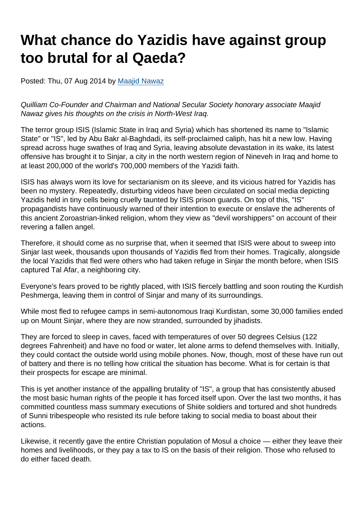## What chance do Yazidis have against group too brutal for al Qaeda?

Posted: Thu, 07 Aug 2014 by [Maajid Nawaz](https://www.secularism.org.uk/opinion/authors/862)

Quilliam Co-Founder and Chairman and National Secular Society honorary associate Maajid Nawaz gives his thoughts on the crisis in North-West Iraq.

The terror group ISIS (Islamic State in Iraq and Syria) which has shortened its name to "Islamic State" or "IS", led by Abu Bakr al-Baghdadi, its self-proclaimed caliph, has hit a new low. Having spread across huge swathes of Iraq and Syria, leaving absolute devastation in its wake, its latest offensive has brought it to Sinjar, a city in the north western region of Nineveh in Iraq and home to at least 200,000 of the world's 700,000 members of the Yazidi faith.

ISIS has always worn its love for sectarianism on its sleeve, and its vicious hatred for Yazidis has been no mystery. Repeatedly, disturbing videos have been circulated on social media depicting Yazidis held in tiny cells being cruelly taunted by ISIS prison guards. On top of this, "IS" propagandists have continuously warned of their intention to execute or enslave the adherents of this ancient Zoroastrian-linked religion, whom they view as "devil worshippers" on account of their revering a fallen angel.

Therefore, it should come as no surprise that, when it seemed that ISIS were about to sweep into Sinjar last week, thousands upon thousands of Yazidis fled from their homes. Tragically, alongside the local Yazidis that fled were others who had taken refuge in Sinjar the month before, when ISIS captured Tal Afar, a neighboring city.

Everyone's fears proved to be rightly placed, with ISIS fiercely battling and soon routing the Kurdish Peshmerga, leaving them in control of Sinjar and many of its surroundings.

While most fled to refugee camps in semi-autonomous Iraqi Kurdistan, some 30,000 families ended up on Mount Sinjar, where they are now stranded, surrounded by jihadists.

They are forced to sleep in caves, faced with temperatures of over 50 degrees Celsius (122 degrees Fahrenheit) and have no food or water, let alone arms to defend themselves with. Initially, they could contact the outside world using mobile phones. Now, though, most of these have run out of battery and there is no telling how critical the situation has become. What is for certain is that their prospects for escape are minimal.

This is yet another instance of the appalling brutality of "IS", a group that has consistently abused the most basic human rights of the people it has forced itself upon. Over the last two months, it has committed countless mass summary executions of Shiite soldiers and tortured and shot hundreds of Sunni tribespeople who resisted its rule before taking to social media to boast about their actions.

Likewise, it recently gave the entire Christian population of Mosul a choice — either they leave their homes and livelihoods, or they pay a tax to IS on the basis of their religion. Those who refused to do either faced death.